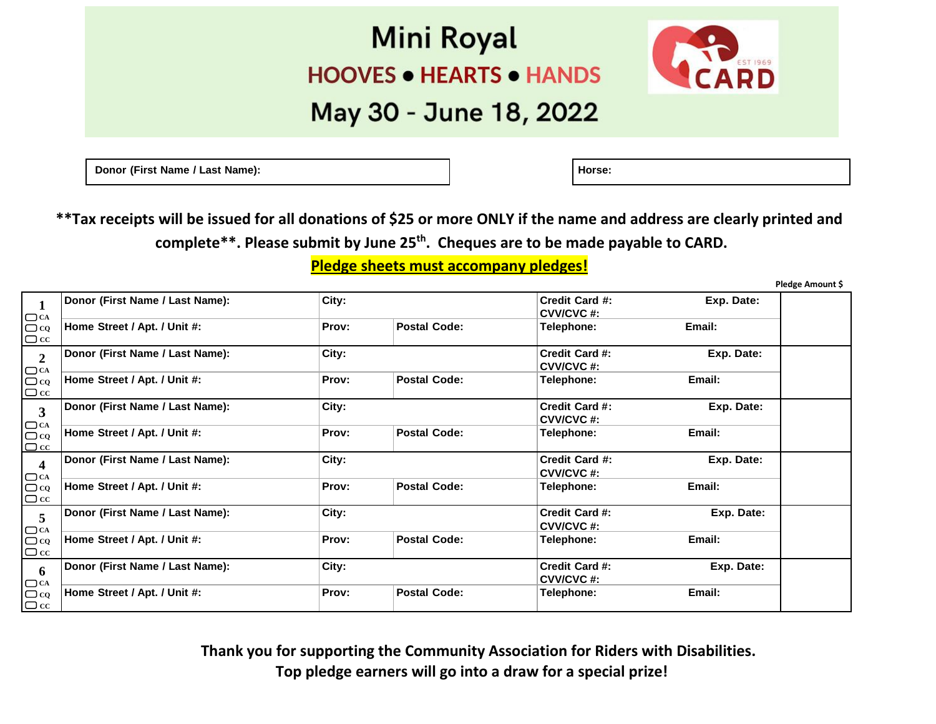## **Mini Royal HOOVES . HEARTS . HANDS**



## May 30 - June 18, 2022

**Donor** (First Name / Last Name): **All and Solution Contract Contract 1** and **Horse: Horse: Horse: Horse: Horse: Horse: Horse: Horse: Horse: Horse: Horse: Horse: Horse: Horse: Horse: Horse:**

**\*\*Tax receipts will be issued for all donations of \$25 or more ONLY if the name and address are clearly printed and complete\*\*. Please submit by June 25th . Cheques are to be made payable to CARD.**

**Pledge sheets must accompany pledges!** 

**Pledge Amount \$** 

| $\mathbf 1$                                    | Donor (First Name / Last Name): | City: |                     | Credit Card #:<br><b>CVV/CVC#:</b> | Exp. Date: |  |
|------------------------------------------------|---------------------------------|-------|---------------------|------------------------------------|------------|--|
| $\Box$ CA<br>$\Box$ CQ<br>$\Box$ cc            | Home Street / Apt. / Unit #:    | Prov: | <b>Postal Code:</b> | Telephone:                         | Email:     |  |
| $\boldsymbol{2}$                               | Donor (First Name / Last Name): | City: |                     | Credit Card #:<br>CVV/CVC#:        | Exp. Date: |  |
| $\Box$ CA<br>$\Box$ CQ<br>$\Box$ cc            | Home Street / Apt. / Unit #:    | Prov: | <b>Postal Code:</b> | Telephone:                         | Email:     |  |
| $\mathbf{3}$                                   | Donor (First Name / Last Name): | City: |                     | Credit Card #:<br>CVV/CVC#:        | Exp. Date: |  |
| $\Box$ CA $\Box$ CQ<br>$\Box$ cc               | Home Street / Apt. / Unit #:    | Prov: | <b>Postal Code:</b> | Telephone:                         | Email:     |  |
| $\overline{\mathbf{4}}$<br>$\Box$ CA           | Donor (First Name / Last Name): | City: |                     | Credit Card #:<br>CVV/CVC#:        | Exp. Date: |  |
| $\Box$ co<br>$\Box$ cc                         | Home Street / Apt. / Unit #:    | Prov: | <b>Postal Code:</b> | Telephone:                         | Email:     |  |
| 5<br>$\Box$ CA                                 | Donor (First Name / Last Name): | City: |                     | Credit Card #:<br>CVV/CVC#:        | Exp. Date: |  |
| $\Box$ co<br>$\Box$ cc                         | Home Street / Apt. / Unit #:    | Prov: | <b>Postal Code:</b> | Telephone:                         | Email:     |  |
| 6                                              | Donor (First Name / Last Name): | City: |                     | <b>Credit Card #:</b><br>CVV/CVC#: | Exp. Date: |  |
| $\square_{\text{CQ}}^{\text{CA}}$<br>$\Box$ cc | Home Street / Apt. / Unit #:    | Prov: | <b>Postal Code:</b> | Telephone:                         | Email:     |  |

 **Thank you for supporting the Community Association for Riders with Disabilities. Top pledge earners will go into a draw for a special prize!**